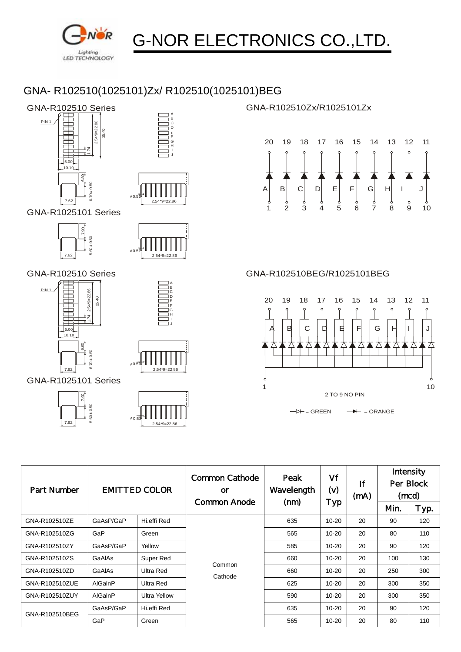

## G-NOR ELECTRONICS CO.,LTD.

## GNA- R102510(1025101)Zx/ R102510(1025101)BEG



 $0.0$ 

7.62  $6.70 \pm 0.50$ 





2.54\*9=22.86

GNA-R102510Zx/R1025101Zx





| <b>Part Number</b> | <b>EMITTED COLOR</b> |                     | Common Cathode<br><b>or</b><br>Common Anode | Peak<br>Wavelength<br>(mm) | Vf<br>(v)<br>Typ | Ιf<br>(mA) | Intensity<br>Per Block<br>(mcd) |      |
|--------------------|----------------------|---------------------|---------------------------------------------|----------------------------|------------------|------------|---------------------------------|------|
|                    |                      |                     |                                             |                            |                  |            | <b>Min</b>                      | Typ. |
| GNA-R102510ZE      | GaAsP/GaP            | Hi.effi Red         | Common<br>Cathode                           | 635                        | $10 - 20$        | 20         | 90                              | 120  |
| GNA-R102510ZG      | GaP                  | Green               |                                             | 565                        | $10 - 20$        | 20         | 80                              | 110  |
| GNA-R102510ZY      | GaAsP/GaP            | Yellow              |                                             | 585                        | $10 - 20$        | 20         | 90                              | 120  |
| GNA-R102510ZS      | GaAlAs               | Super Red           |                                             | 660                        | $10 - 20$        | 20         | 100                             | 130  |
| GNA-R102510ZD      | GaAlAs               | Ultra Red           |                                             | 660                        | $10 - 20$        | 20         | 250                             | 300  |
| GNA-R102510ZUE     | AlGalnP              | Ultra Red           |                                             | 625                        | $10 - 20$        | 20         | 300                             | 350  |
| GNA-R102510ZUY     | AlGalnP              | <b>Ultra Yellow</b> |                                             | 590                        | $10 - 20$        | 20         | 300                             | 350  |
| GNA-R102510BEG     | GaAsP/GaP            | Hi.effi Red         |                                             | 635                        | $10 - 20$        | 20         | 90                              | 120  |
|                    | GaP                  | Green               |                                             | 565                        | $10 - 20$        | 20         | 80                              | 110  |